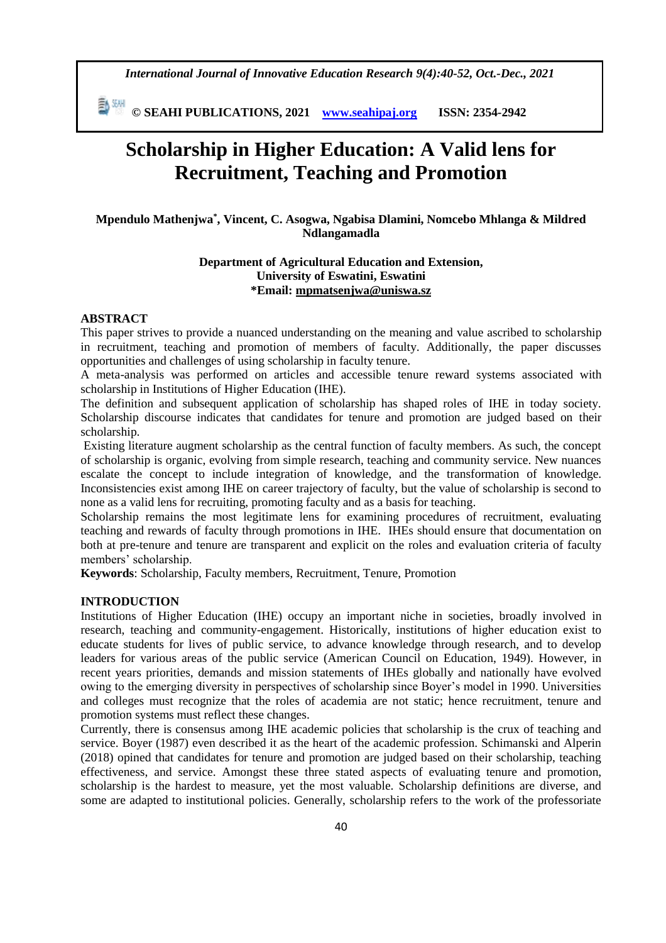*International Journal of Innovative Education Research 9(4):40-52, Oct.-Dec., 2021*

 **© SEAHI PUBLICATIONS, 2021 [www.seahipaj.org](http://www.seahipaj.org/) ISSN: 2354-2942**

# **Scholarship in Higher Education: A Valid lens for Recruitment, Teaching and Promotion**

**Mpendulo Mathenjwa\* , Vincent, C. Asogwa, Ngabisa Dlamini, Nomcebo Mhlanga & Mildred Ndlangamadla**

# **Department of Agricultural Education and Extension, University of Eswatini, Eswatini \*Email: [mpmatsenjwa@uniswa.sz](mailto:mpmatsenjwa@uniswa.sz1)**

# **ABSTRACT**

This paper strives to provide a nuanced understanding on the meaning and value ascribed to scholarship in recruitment, teaching and promotion of members of faculty. Additionally, the paper discusses opportunities and challenges of using scholarship in faculty tenure.

A meta-analysis was performed on articles and accessible tenure reward systems associated with scholarship in Institutions of Higher Education (IHE).

The definition and subsequent application of scholarship has shaped roles of IHE in today society. Scholarship discourse indicates that candidates for tenure and promotion are judged based on their scholarship.

Existing literature augment scholarship as the central function of faculty members. As such, the concept of scholarship is organic, evolving from simple research, teaching and community service. New nuances escalate the concept to include integration of knowledge, and the transformation of knowledge. Inconsistencies exist among IHE on career trajectory of faculty, but the value of scholarship is second to none as a valid lens for recruiting, promoting faculty and as a basis for teaching.

Scholarship remains the most legitimate lens for examining procedures of recruitment, evaluating teaching and rewards of faculty through promotions in IHE. IHEs should ensure that documentation on both at pre-tenure and tenure are transparent and explicit on the roles and evaluation criteria of faculty members' scholarship.

**Keywords**: Scholarship, Faculty members, Recruitment, Tenure, Promotion

## **INTRODUCTION**

Institutions of Higher Education (IHE) occupy an important niche in societies, broadly involved in research, teaching and community-engagement. Historically, institutions of higher education exist to educate students for lives of public service, to advance knowledge through research, and to develop leaders for various areas of the public service (American Council on Education, 1949). However, in recent years priorities, demands and mission statements of IHEs globally and nationally have evolved owing to the emerging diversity in perspectives of scholarship since Boyer's model in 1990. Universities and colleges must recognize that the roles of academia are not static; hence recruitment, tenure and promotion systems must reflect these changes.

Currently, there is consensus among IHE academic policies that scholarship is the crux of teaching and service. Boyer (1987) even described it as the heart of the academic profession. Schimanski and Alperin (2018) opined that candidates for tenure and promotion are judged based on their scholarship, teaching effectiveness, and service. Amongst these three stated aspects of evaluating tenure and promotion, scholarship is the hardest to measure, yet the most valuable. Scholarship definitions are diverse, and some are adapted to institutional policies. Generally, scholarship refers to the work of the professoriate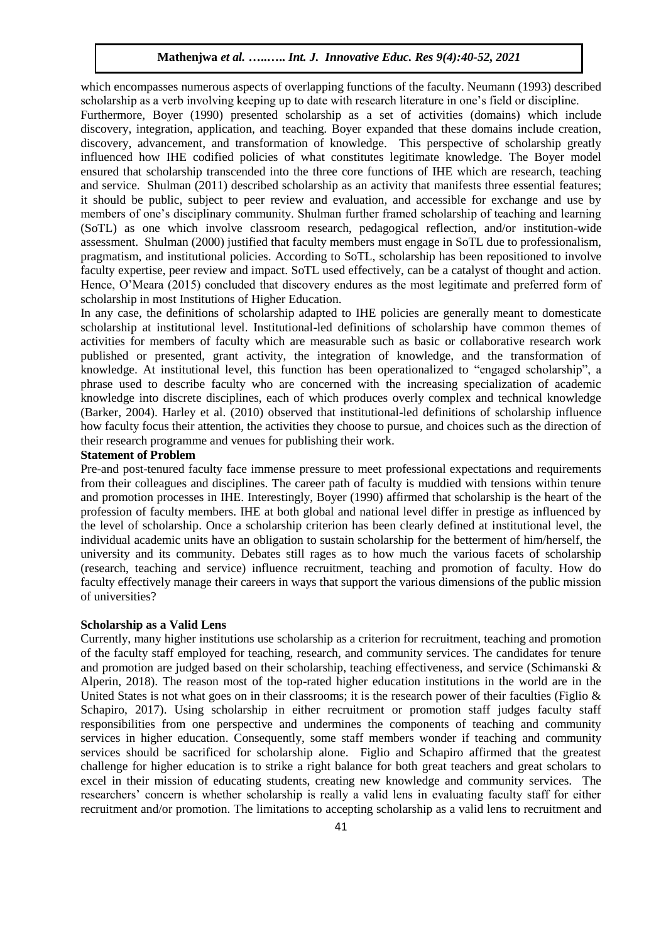which encompasses numerous aspects of overlapping functions of the faculty. Neumann (1993) described scholarship as a verb involving keeping up to date with research literature in one's field or discipline.

Furthermore, Boyer (1990) presented scholarship as a set of activities (domains) which include discovery, integration, application, and teaching. Boyer expanded that these domains include creation, discovery, advancement, and transformation of knowledge. This perspective of scholarship greatly influenced how IHE codified policies of what constitutes legitimate knowledge. The Boyer model ensured that scholarship transcended into the three core functions of IHE which are research, teaching and service. Shulman (2011) described scholarship as an activity that manifests three essential features; it should be public, subject to peer review and evaluation, and accessible for exchange and use by members of one's disciplinary community. Shulman further framed scholarship of teaching and learning (SoTL) as one which involve classroom research, pedagogical reflection, and/or institution-wide assessment. Shulman (2000) justified that faculty members must engage in SoTL due to professionalism, pragmatism, and institutional policies. According to SoTL, scholarship has been repositioned to involve faculty expertise, peer review and impact. SoTL used effectively, can be a catalyst of thought and action. Hence, O'Meara (2015) concluded that discovery endures as the most legitimate and preferred form of scholarship in most Institutions of Higher Education.

In any case, the definitions of scholarship adapted to IHE policies are generally meant to domesticate scholarship at institutional level. Institutional-led definitions of scholarship have common themes of activities for members of faculty which are measurable such as basic or collaborative research work published or presented, grant activity, the integration of knowledge, and the transformation of knowledge. At institutional level, this function has been operationalized to "engaged scholarship", a phrase used to describe faculty who are concerned with the increasing specialization of academic knowledge into discrete disciplines, each of which produces overly complex and technical knowledge (Barker, 2004). Harley et al. (2010) observed that institutional-led definitions of scholarship influence how faculty focus their attention, the activities they choose to pursue, and choices such as the direction of their research programme and venues for publishing their work.

#### **Statement of Problem**

Pre-and post-tenured faculty face immense pressure to meet professional expectations and requirements from their colleagues and disciplines. The career path of faculty is muddied with tensions within tenure and promotion processes in IHE. Interestingly, Boyer (1990) affirmed that scholarship is the heart of the profession of faculty members. IHE at both global and national level differ in prestige as influenced by the level of scholarship. Once a scholarship criterion has been clearly defined at institutional level, the individual academic units have an obligation to sustain scholarship for the betterment of him/herself, the university and its community. Debates still rages as to how much the various facets of scholarship (research, teaching and service) influence recruitment, teaching and promotion of faculty. How do faculty effectively manage their careers in ways that support the various dimensions of the public mission of universities?

#### **Scholarship as a Valid Lens**

Currently, many higher institutions use scholarship as a criterion for recruitment, teaching and promotion of the faculty staff employed for teaching, research, and community services. The candidates for tenure and promotion are judged based on their scholarship, teaching effectiveness, and service (Schimanski & Alperin, 2018). The reason most of the top-rated higher education institutions in the world are in the United States is not what goes on in their classrooms; it is the research power of their faculties (Figlio  $\&$ Schapiro, 2017). Using scholarship in either recruitment or promotion staff judges faculty staff responsibilities from one perspective and undermines the components of teaching and community services in higher education. Consequently, some staff members wonder if teaching and community services should be sacrificed for scholarship alone. Figlio and Schapiro affirmed that the greatest challenge for higher education is to strike a right balance for both great teachers and great scholars to excel in their mission of educating students, creating new knowledge and community services. The researchers' concern is whether scholarship is really a valid lens in evaluating faculty staff for either recruitment and/or promotion. The limitations to accepting scholarship as a valid lens to recruitment and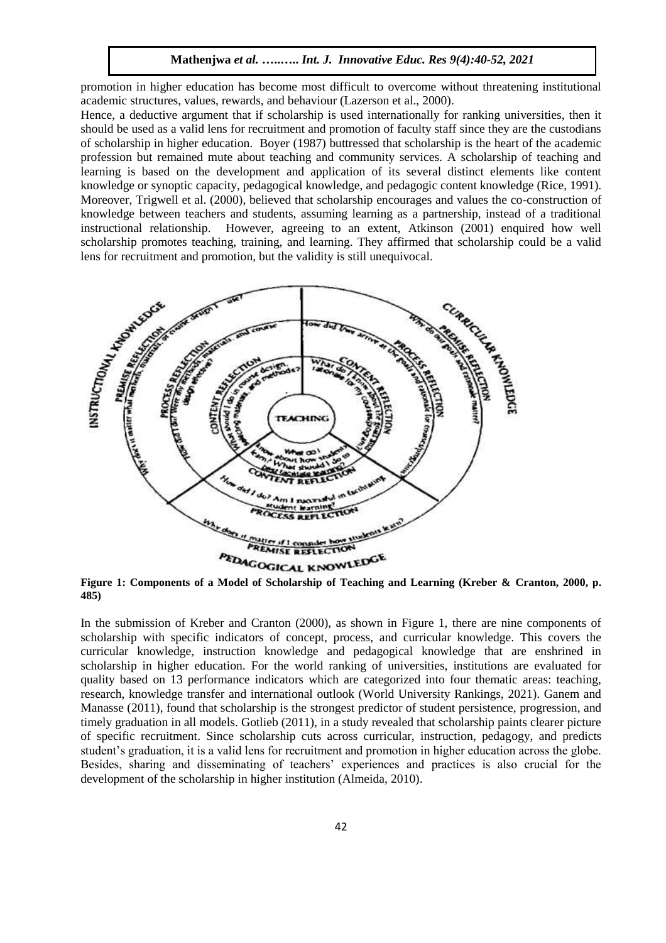promotion in higher education has become most difficult to overcome without threatening institutional academic structures, values, rewards, and behaviour (Lazerson et al., 2000).

Hence, a deductive argument that if scholarship is used internationally for ranking universities, then it should be used as a valid lens for recruitment and promotion of faculty staff since they are the custodians of scholarship in higher education. Boyer (1987) buttressed that scholarship is the heart of the academic profession but remained mute about teaching and community services. A scholarship of teaching and learning is based on the development and application of its several distinct elements like content knowledge or synoptic capacity, pedagogical knowledge, and pedagogic content knowledge (Rice, 1991). Moreover, Trigwell et al. (2000), believed that scholarship encourages and values the co-construction of knowledge between teachers and students, assuming learning as a partnership, instead of a traditional instructional relationship. However, agreeing to an extent, Atkinson (2001) enquired how well scholarship promotes teaching, training, and learning. They affirmed that scholarship could be a valid lens for recruitment and promotion, but the validity is still unequivocal.



**Figure 1: Components of a Model of Scholarship of Teaching and Learning (Kreber & Cranton, 2000, p. 485)**

In the submission of Kreber and Cranton (2000), as shown in Figure 1, there are nine components of scholarship with specific indicators of concept, process, and curricular knowledge. This covers the curricular knowledge, instruction knowledge and pedagogical knowledge that are enshrined in scholarship in higher education. For the world ranking of universities, institutions are evaluated for quality based on 13 performance indicators which are categorized into four thematic areas: teaching, research, knowledge transfer and international outlook (World University Rankings, 2021). Ganem and Manasse (2011), found that scholarship is the strongest predictor of student persistence, progression, and timely graduation in all models. Gotlieb (2011), in a study revealed that scholarship paints clearer picture of specific recruitment. Since scholarship cuts across curricular, instruction, pedagogy, and predicts student's graduation, it is a valid lens for recruitment and promotion in higher education across the globe. Besides, sharing and disseminating of teachers' experiences and practices is also crucial for the development of the scholarship in higher institution (Almeida, 2010).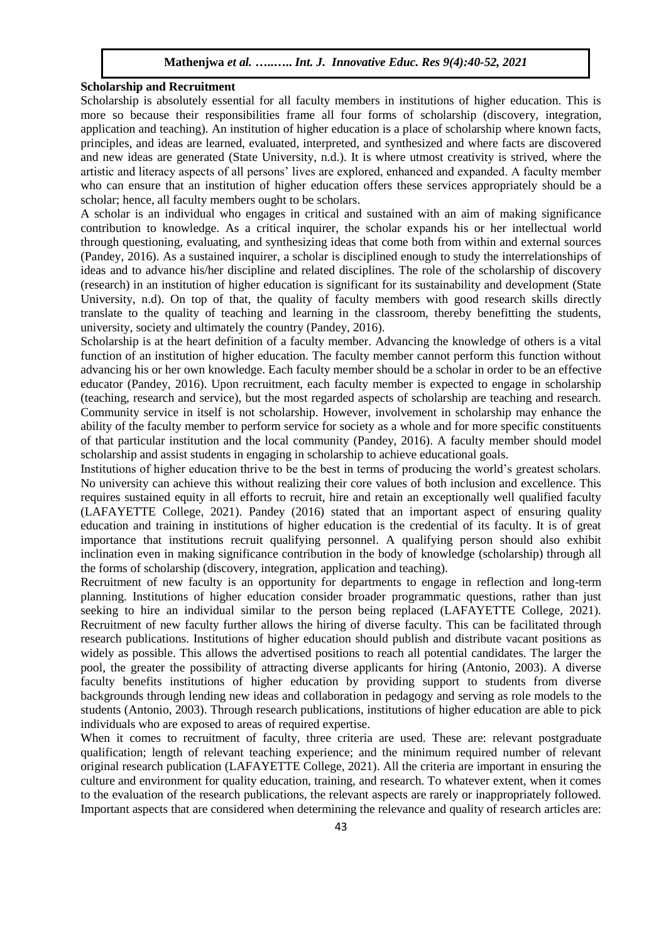## **Scholarship and Recruitment**

Scholarship is absolutely essential for all faculty members in institutions of higher education. This is more so because their responsibilities frame all four forms of scholarship (discovery, integration, application and teaching). An institution of higher education is a place of scholarship where known facts, principles, and ideas are learned, evaluated, interpreted, and synthesized and where facts are discovered and new ideas are generated (State University, n.d.). It is where utmost creativity is strived, where the artistic and literacy aspects of all persons' lives are explored, enhanced and expanded. A faculty member who can ensure that an institution of higher education offers these services appropriately should be a scholar; hence, all faculty members ought to be scholars.

A scholar is an individual who engages in critical and sustained with an aim of making significance contribution to knowledge. As a critical inquirer, the scholar expands his or her intellectual world through questioning, evaluating, and synthesizing ideas that come both from within and external sources (Pandey, 2016). As a sustained inquirer, a scholar is disciplined enough to study the interrelationships of ideas and to advance his/her discipline and related disciplines. The role of the scholarship of discovery (research) in an institution of higher education is significant for its sustainability and development (State University, n.d). On top of that, the quality of faculty members with good research skills directly translate to the quality of teaching and learning in the classroom, thereby benefitting the students, university, society and ultimately the country (Pandey, 2016).

Scholarship is at the heart definition of a faculty member. Advancing the knowledge of others is a vital function of an institution of higher education. The faculty member cannot perform this function without advancing his or her own knowledge. Each faculty member should be a scholar in order to be an effective educator (Pandey, 2016). Upon recruitment, each faculty member is expected to engage in scholarship (teaching, research and service), but the most regarded aspects of scholarship are teaching and research. Community service in itself is not scholarship. However, involvement in scholarship may enhance the ability of the faculty member to perform service for society as a whole and for more specific constituents of that particular institution and the local community (Pandey, 2016). A faculty member should model scholarship and assist students in engaging in scholarship to achieve educational goals.

Institutions of higher education thrive to be the best in terms of producing the world's greatest scholars. No university can achieve this without realizing their core values of both inclusion and excellence. This requires sustained equity in all efforts to recruit, hire and retain an exceptionally well qualified faculty (LAFAYETTE College, 2021). Pandey (2016) stated that an important aspect of ensuring quality education and training in institutions of higher education is the credential of its faculty. It is of great importance that institutions recruit qualifying personnel. A qualifying person should also exhibit inclination even in making significance contribution in the body of knowledge (scholarship) through all the forms of scholarship (discovery, integration, application and teaching).

Recruitment of new faculty is an opportunity for departments to engage in reflection and long-term planning. Institutions of higher education consider broader programmatic questions, rather than just seeking to hire an individual similar to the person being replaced (LAFAYETTE College, 2021). Recruitment of new faculty further allows the hiring of diverse faculty. This can be facilitated through research publications. Institutions of higher education should publish and distribute vacant positions as widely as possible. This allows the advertised positions to reach all potential candidates. The larger the pool, the greater the possibility of attracting diverse applicants for hiring (Antonio, 2003). A diverse faculty benefits institutions of higher education by providing support to students from diverse backgrounds through lending new ideas and collaboration in pedagogy and serving as role models to the students (Antonio, 2003). Through research publications, institutions of higher education are able to pick individuals who are exposed to areas of required expertise.

When it comes to recruitment of faculty, three criteria are used. These are: relevant postgraduate qualification; length of relevant teaching experience; and the minimum required number of relevant original research publication (LAFAYETTE College, 2021). All the criteria are important in ensuring the culture and environment for quality education, training, and research. To whatever extent, when it comes to the evaluation of the research publications, the relevant aspects are rarely or inappropriately followed. Important aspects that are considered when determining the relevance and quality of research articles are: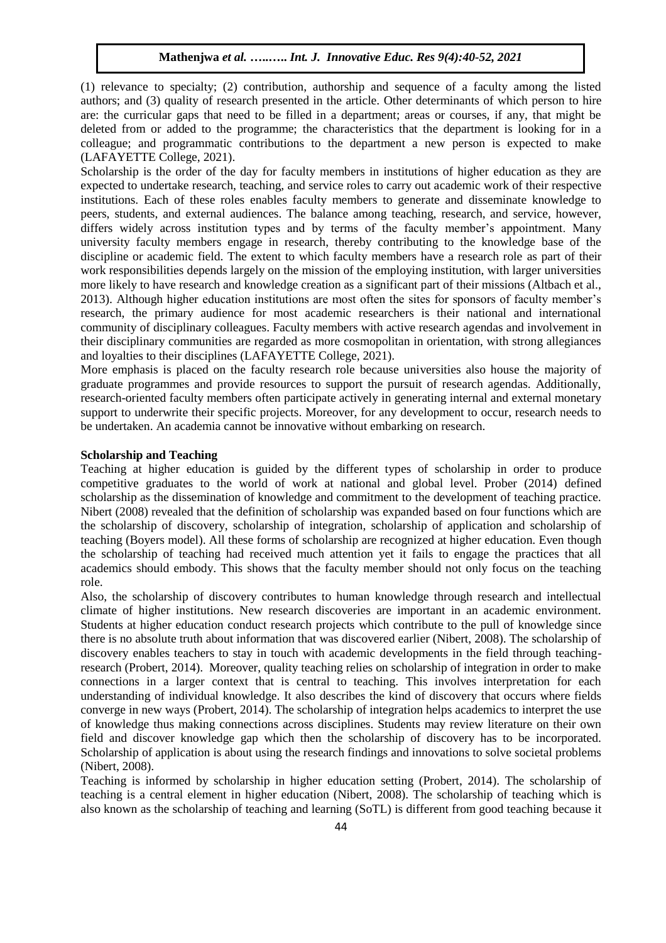(1) relevance to specialty; (2) contribution, authorship and sequence of a faculty among the listed authors; and (3) quality of research presented in the article. Other determinants of which person to hire are: the curricular gaps that need to be filled in a department; areas or courses, if any, that might be deleted from or added to the programme; the characteristics that the department is looking for in a colleague; and programmatic contributions to the department a new person is expected to make (LAFAYETTE College, 2021).

Scholarship is the order of the day for faculty members in institutions of higher education as they are expected to undertake research, teaching, and service roles to carry out academic work of their respective institutions. Each of these roles enables faculty members to generate and disseminate knowledge to peers, students, and external audiences. The balance among teaching, research, and service, however, differs widely across institution types and by terms of the faculty member's appointment. Many university faculty members engage in research, thereby contributing to the knowledge base of the discipline or academic field. The extent to which faculty members have a research role as part of their work responsibilities depends largely on the mission of the employing institution, with larger universities more likely to have research and knowledge creation as a significant part of their missions (Altbach et al., 2013). Although higher education institutions are most often the sites for sponsors of faculty member's research, the primary audience for most academic researchers is their national and international community of disciplinary colleagues. Faculty members with active research agendas and involvement in their disciplinary communities are regarded as more cosmopolitan in orientation, with strong allegiances and loyalties to their disciplines (LAFAYETTE College, 2021).

More emphasis is placed on the faculty research role because universities also house the majority of graduate programmes and provide resources to support the pursuit of research agendas. Additionally, research-oriented faculty members often participate actively in generating internal and external monetary support to underwrite their specific projects. Moreover, for any development to occur, research needs to be undertaken. An academia cannot be innovative without embarking on research.

#### **Scholarship and Teaching**

Teaching at higher education is guided by the different types of scholarship in order to produce competitive graduates to the world of work at national and global level. Prober (2014) defined scholarship as the dissemination of knowledge and commitment to the development of teaching practice. Nibert (2008) revealed that the definition of scholarship was expanded based on four functions which are the scholarship of discovery, scholarship of integration, scholarship of application and scholarship of teaching (Boyers model). All these forms of scholarship are recognized at higher education. Even though the scholarship of teaching had received much attention yet it fails to engage the practices that all academics should embody. This shows that the faculty member should not only focus on the teaching role.

Also, the scholarship of discovery contributes to human knowledge through research and intellectual climate of higher institutions. New research discoveries are important in an academic environment. Students at higher education conduct research projects which contribute to the pull of knowledge since there is no absolute truth about information that was discovered earlier (Nibert, 2008). The scholarship of discovery enables teachers to stay in touch with academic developments in the field through teachingresearch (Probert, 2014). Moreover, quality teaching relies on scholarship of integration in order to make connections in a larger context that is central to teaching. This involves interpretation for each understanding of individual knowledge. It also describes the kind of discovery that occurs where fields converge in new ways (Probert, 2014). The scholarship of integration helps academics to interpret the use of knowledge thus making connections across disciplines. Students may review literature on their own field and discover knowledge gap which then the scholarship of discovery has to be incorporated. Scholarship of application is about using the research findings and innovations to solve societal problems (Nibert, 2008).

Teaching is informed by scholarship in higher education setting (Probert, 2014). The scholarship of teaching is a central element in higher education (Nibert, 2008). The scholarship of teaching which is also known as the scholarship of teaching and learning (SoTL) is different from good teaching because it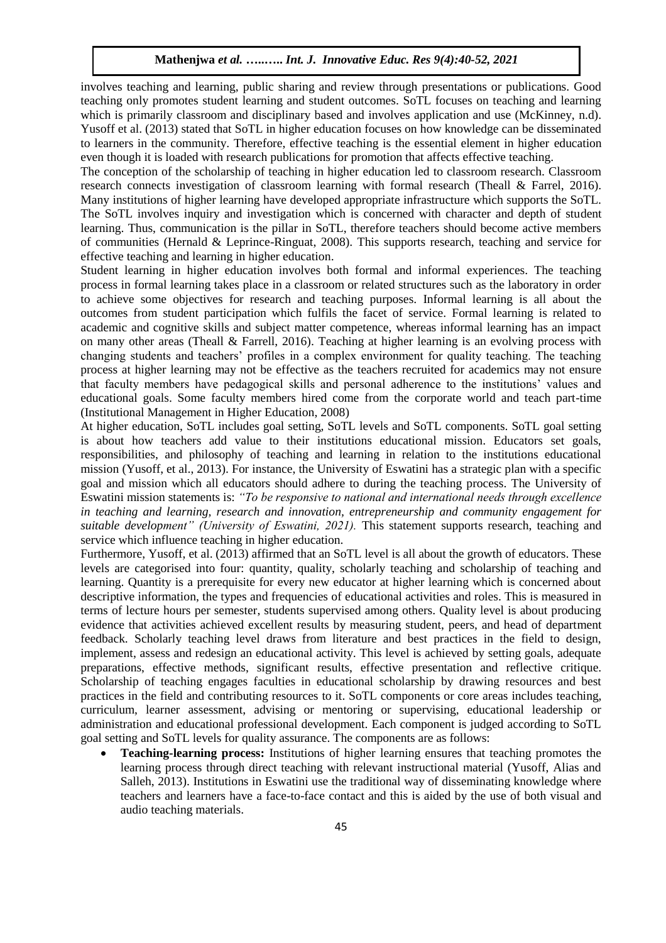involves teaching and learning, public sharing and review through presentations or publications. Good teaching only promotes student learning and student outcomes. SoTL focuses on teaching and learning which is primarily classroom and disciplinary based and involves application and use (McKinney, n.d). Yusoff et al. (2013) stated that SoTL in higher education focuses on how knowledge can be disseminated to learners in the community. Therefore, effective teaching is the essential element in higher education even though it is loaded with research publications for promotion that affects effective teaching.

The conception of the scholarship of teaching in higher education led to classroom research. Classroom research connects investigation of classroom learning with formal research (Theall & Farrel, 2016). Many institutions of higher learning have developed appropriate infrastructure which supports the SoTL. The SoTL involves inquiry and investigation which is concerned with character and depth of student learning. Thus, communication is the pillar in SoTL, therefore teachers should become active members of communities (Hernald & Leprince-Ringuat, 2008). This supports research, teaching and service for effective teaching and learning in higher education.

Student learning in higher education involves both formal and informal experiences. The teaching process in formal learning takes place in a classroom or related structures such as the laboratory in order to achieve some objectives for research and teaching purposes. Informal learning is all about the outcomes from student participation which fulfils the facet of service. Formal learning is related to academic and cognitive skills and subject matter competence, whereas informal learning has an impact on many other areas (Theall & Farrell, 2016). Teaching at higher learning is an evolving process with changing students and teachers' profiles in a complex environment for quality teaching. The teaching process at higher learning may not be effective as the teachers recruited for academics may not ensure that faculty members have pedagogical skills and personal adherence to the institutions' values and educational goals. Some faculty members hired come from the corporate world and teach part-time (Institutional Management in Higher Education, 2008)

At higher education, SoTL includes goal setting, SoTL levels and SoTL components. SoTL goal setting is about how teachers add value to their institutions educational mission. Educators set goals, responsibilities, and philosophy of teaching and learning in relation to the institutions educational mission (Yusoff, et al., 2013). For instance, the University of Eswatini has a strategic plan with a specific goal and mission which all educators should adhere to during the teaching process. The University of Eswatini mission statements is: *"To be responsive to national and international needs through excellence in teaching and learning, research and innovation, entrepreneurship and community engagement for suitable development" (University of Eswatini, 2021).* This statement supports research, teaching and service which influence teaching in higher education.

Furthermore, Yusoff, et al. (2013) affirmed that an SoTL level is all about the growth of educators. These levels are categorised into four: quantity, quality, scholarly teaching and scholarship of teaching and learning. Quantity is a prerequisite for every new educator at higher learning which is concerned about descriptive information, the types and frequencies of educational activities and roles. This is measured in terms of lecture hours per semester, students supervised among others. Quality level is about producing evidence that activities achieved excellent results by measuring student, peers, and head of department feedback. Scholarly teaching level draws from literature and best practices in the field to design, implement, assess and redesign an educational activity. This level is achieved by setting goals, adequate preparations, effective methods, significant results, effective presentation and reflective critique. Scholarship of teaching engages faculties in educational scholarship by drawing resources and best practices in the field and contributing resources to it. SoTL components or core areas includes teaching, curriculum, learner assessment, advising or mentoring or supervising, educational leadership or administration and educational professional development. Each component is judged according to SoTL goal setting and SoTL levels for quality assurance. The components are as follows:

 **Teaching-learning process:** Institutions of higher learning ensures that teaching promotes the learning process through direct teaching with relevant instructional material (Yusoff, Alias and Salleh, 2013). Institutions in Eswatini use the traditional way of disseminating knowledge where teachers and learners have a face-to-face contact and this is aided by the use of both visual and audio teaching materials.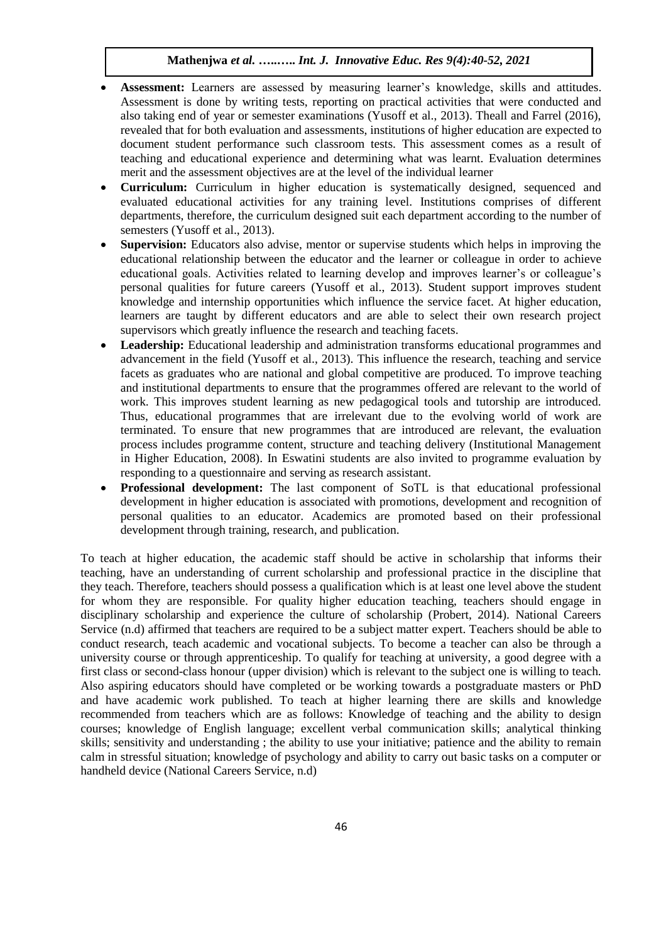- **Assessment:** Learners are assessed by measuring learner's knowledge, skills and attitudes. Assessment is done by writing tests, reporting on practical activities that were conducted and also taking end of year or semester examinations (Yusoff et al., 2013). Theall and Farrel (2016), revealed that for both evaluation and assessments, institutions of higher education are expected to document student performance such classroom tests. This assessment comes as a result of teaching and educational experience and determining what was learnt. Evaluation determines merit and the assessment objectives are at the level of the individual learner
- **Curriculum:** Curriculum in higher education is systematically designed, sequenced and evaluated educational activities for any training level. Institutions comprises of different departments, therefore, the curriculum designed suit each department according to the number of semesters (Yusoff et al., 2013).
- **Supervision:** Educators also advise, mentor or supervise students which helps in improving the educational relationship between the educator and the learner or colleague in order to achieve educational goals. Activities related to learning develop and improves learner's or colleague's personal qualities for future careers (Yusoff et al., 2013). Student support improves student knowledge and internship opportunities which influence the service facet. At higher education, learners are taught by different educators and are able to select their own research project supervisors which greatly influence the research and teaching facets.
- **Leadership:** Educational leadership and administration transforms educational programmes and advancement in the field (Yusoff et al., 2013). This influence the research, teaching and service facets as graduates who are national and global competitive are produced. To improve teaching and institutional departments to ensure that the programmes offered are relevant to the world of work. This improves student learning as new pedagogical tools and tutorship are introduced. Thus, educational programmes that are irrelevant due to the evolving world of work are terminated. To ensure that new programmes that are introduced are relevant, the evaluation process includes programme content, structure and teaching delivery (Institutional Management in Higher Education, 2008). In Eswatini students are also invited to programme evaluation by responding to a questionnaire and serving as research assistant.
- **Professional development:** The last component of SoTL is that educational professional development in higher education is associated with promotions, development and recognition of personal qualities to an educator. Academics are promoted based on their professional development through training, research, and publication.

To teach at higher education, the academic staff should be active in scholarship that informs their teaching, have an understanding of current scholarship and professional practice in the discipline that they teach. Therefore, teachers should possess a qualification which is at least one level above the student for whom they are responsible. For quality higher education teaching, teachers should engage in disciplinary scholarship and experience the culture of scholarship (Probert, 2014). National Careers Service (n.d) affirmed that teachers are required to be a subject matter expert. Teachers should be able to conduct research, teach academic and vocational subjects. To become a teacher can also be through a university course or through apprenticeship. To qualify for teaching at university, a good degree with a first class or second-class honour (upper division) which is relevant to the subject one is willing to teach. Also aspiring educators should have completed or be working towards a postgraduate masters or PhD and have academic work published. To teach at higher learning there are skills and knowledge recommended from teachers which are as follows: Knowledge of teaching and the ability to design courses; knowledge of English language; excellent verbal communication skills; analytical thinking skills; sensitivity and understanding ; the ability to use your initiative; patience and the ability to remain calm in stressful situation; knowledge of psychology and ability to carry out basic tasks on a computer or handheld device (National Careers Service, n.d)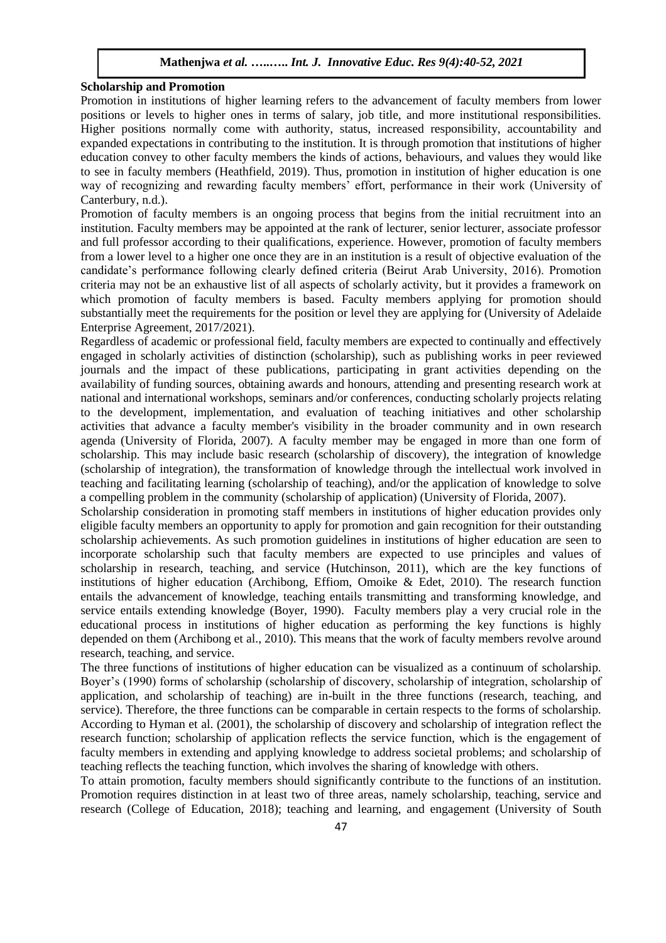# **Scholarship and Promotion**

Promotion in institutions of higher learning refers to the advancement of faculty members from lower positions or levels to higher ones in terms of salary, job title, and more institutional responsibilities. Higher positions normally come with authority, status, increased responsibility, accountability and expanded expectations in contributing to the institution. It is through promotion that institutions of higher education convey to other faculty members the kinds of actions, behaviours, and values they would like to see in faculty members (Heathfield, 2019). Thus, promotion in institution of higher education is one way of recognizing and rewarding faculty members' effort, performance in their work (University of Canterbury, n.d.).

Promotion of faculty members is an ongoing process that begins from the initial recruitment into an institution. Faculty members may be appointed at the rank of lecturer, senior lecturer, associate professor and full professor according to their qualifications, experience. However, promotion of faculty members from a lower level to a higher one once they are in an institution is a result of objective evaluation of the candidate's performance following clearly defined criteria (Beirut Arab University, 2016). Promotion criteria may not be an exhaustive list of all aspects of scholarly activity, but it provides a framework on which promotion of faculty members is based. Faculty members applying for promotion should substantially meet the requirements for the position or level they are applying for (University of Adelaide Enterprise Agreement, 2017/2021).

Regardless of academic or professional field, faculty members are expected to continually and effectively engaged in scholarly activities of distinction (scholarship), such as publishing works in peer reviewed journals and the impact of these publications, participating in grant activities depending on the availability of funding sources, obtaining awards and honours, attending and presenting research work at national and international workshops, seminars and/or conferences, conducting scholarly projects relating to the development, implementation, and evaluation of teaching initiatives and other scholarship activities that advance a faculty member's visibility in the broader community and in own research agenda (University of Florida, 2007). A faculty member may be engaged in more than one form of scholarship. This may include basic research (scholarship of discovery), the integration of knowledge (scholarship of integration), the transformation of knowledge through the intellectual work involved in teaching and facilitating learning (scholarship of teaching), and/or the application of knowledge to solve a compelling problem in the community (scholarship of application) (University of Florida, 2007).

Scholarship consideration in promoting staff members in institutions of higher education provides only eligible faculty members an opportunity to apply for promotion and gain recognition for their outstanding scholarship achievements. As such promotion guidelines in institutions of higher education are seen to incorporate scholarship such that faculty members are expected to use principles and values of scholarship in research, teaching, and service (Hutchinson, 2011), which are the key functions of institutions of higher education (Archibong, Effiom, Omoike & Edet, 2010). The research function entails the advancement of knowledge, teaching entails transmitting and transforming knowledge, and service entails extending knowledge (Boyer, 1990). Faculty members play a very crucial role in the educational process in institutions of higher education as performing the key functions is highly depended on them (Archibong et al., 2010). This means that the work of faculty members revolve around research, teaching, and service.

The three functions of institutions of higher education can be visualized as a continuum of scholarship. Boyer's (1990) forms of scholarship (scholarship of discovery, scholarship of integration, scholarship of application, and scholarship of teaching) are in-built in the three functions (research, teaching, and service). Therefore, the three functions can be comparable in certain respects to the forms of scholarship. According to Hyman et al. (2001), the scholarship of discovery and scholarship of integration reflect the research function; scholarship of application reflects the service function, which is the engagement of faculty members in extending and applying knowledge to address societal problems; and scholarship of teaching reflects the teaching function, which involves the sharing of knowledge with others.

To attain promotion, faculty members should significantly contribute to the functions of an institution. Promotion requires distinction in at least two of three areas, namely scholarship, teaching, service and research (College of Education, 2018); teaching and learning, and engagement (University of South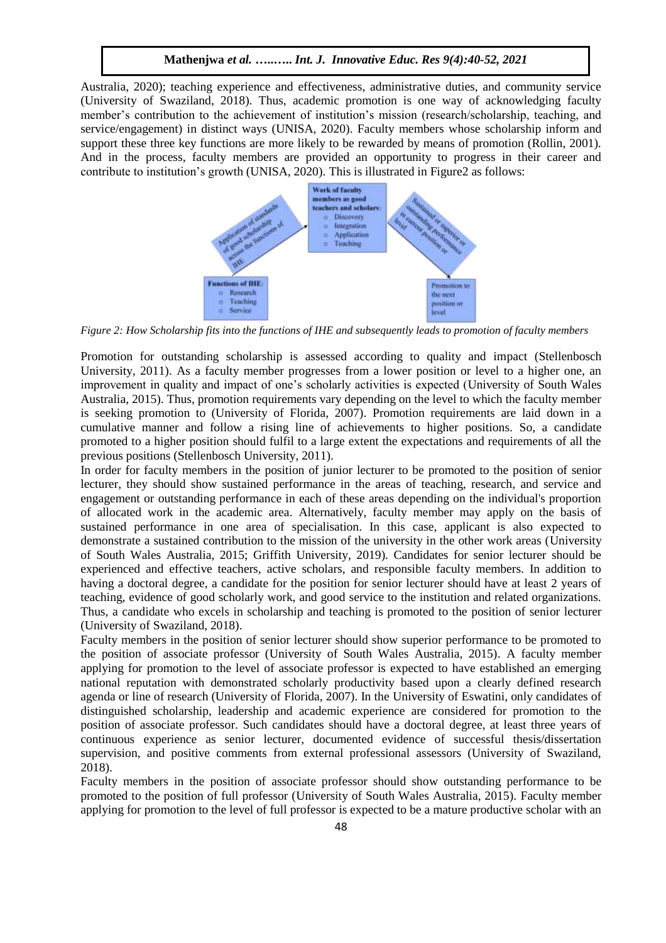Australia, 2020); teaching experience and effectiveness, administrative duties, and community service (University of Swaziland, 2018). Thus, academic promotion is one way of acknowledging faculty member's contribution to the achievement of institution's mission (research/scholarship, teaching, and service/engagement) in distinct ways (UNISA, 2020). Faculty members whose scholarship inform and support these three key functions are more likely to be rewarded by means of promotion (Rollin, 2001). And in the process, faculty members are provided an opportunity to progress in their career and contribute to institution's growth (UNISA, 2020). This is illustrated in Figure2 as follows:



*Figure 2: How Scholarship fits into the functions of IHE and subsequently leads to promotion of faculty members*

Promotion for outstanding scholarship is assessed according to quality and impact (Stellenbosch University, 2011). As a faculty member progresses from a lower position or level to a higher one, an improvement in quality and impact of one's scholarly activities is expected (University of South Wales Australia, 2015). Thus, promotion requirements vary depending on the level to which the faculty member is seeking promotion to (University of Florida, 2007). Promotion requirements are laid down in a cumulative manner and follow a rising line of achievements to higher positions. So, a candidate promoted to a higher position should fulfil to a large extent the expectations and requirements of all the previous positions (Stellenbosch University, 2011).

In order for faculty members in the position of junior lecturer to be promoted to the position of senior lecturer, they should show sustained performance in the areas of teaching, research, and service and engagement or outstanding performance in each of these areas depending on the individual's proportion of allocated work in the academic area. Alternatively, faculty member may apply on the basis of sustained performance in one area of specialisation. In this case, applicant is also expected to demonstrate a sustained contribution to the mission of the university in the other work areas (University of South Wales Australia, 2015; Griffith University, 2019). Candidates for senior lecturer should be experienced and effective teachers, active scholars, and responsible faculty members. In addition to having a doctoral degree, a candidate for the position for senior lecturer should have at least 2 years of teaching, evidence of good scholarly work, and good service to the institution and related organizations. Thus, a candidate who excels in scholarship and teaching is promoted to the position of senior lecturer (University of Swaziland, 2018).

Faculty members in the position of senior lecturer should show superior performance to be promoted to the position of associate professor (University of South Wales Australia, 2015). A faculty member applying for promotion to the level of associate professor is expected to have established an emerging national reputation with demonstrated scholarly productivity based upon a clearly defined research agenda or line of research (University of Florida, 2007). In the University of Eswatini, only candidates of distinguished scholarship, leadership and academic experience are considered for promotion to the position of associate professor. Such candidates should have a doctoral degree, at least three years of continuous experience as senior lecturer, documented evidence of successful thesis/dissertation supervision, and positive comments from external professional assessors (University of Swaziland, 2018).

Faculty members in the position of associate professor should show outstanding performance to be promoted to the position of full professor (University of South Wales Australia, 2015). Faculty member applying for promotion to the level of full professor is expected to be a mature productive scholar with an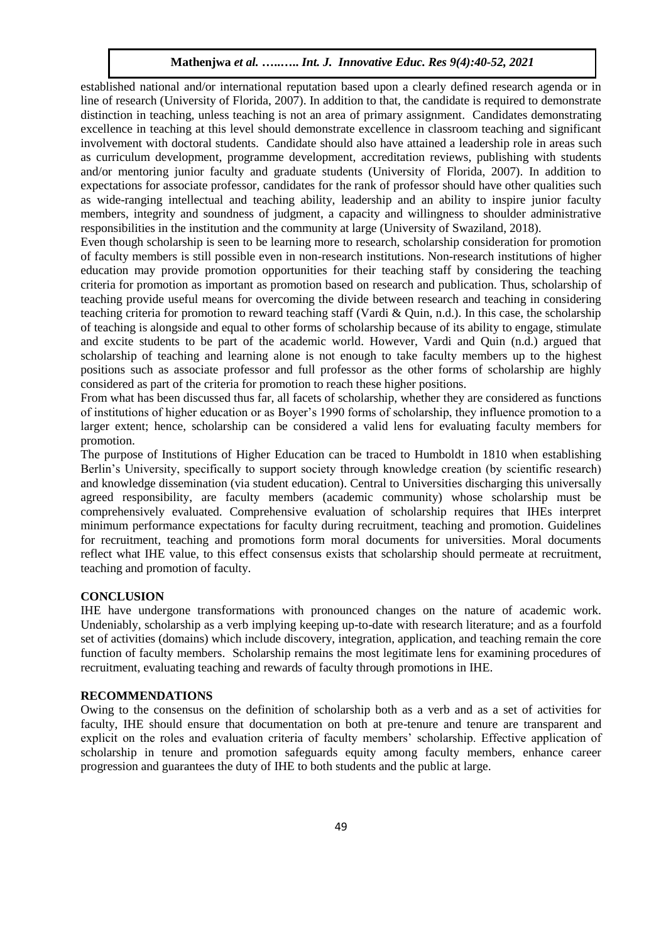established national and/or international reputation based upon a clearly defined research agenda or in line of research (University of Florida, 2007). In addition to that, the candidate is required to demonstrate distinction in teaching, unless teaching is not an area of primary assignment. Candidates demonstrating excellence in teaching at this level should demonstrate excellence in classroom teaching and significant involvement with doctoral students. Candidate should also have attained a leadership role in areas such as curriculum development, programme development, accreditation reviews, publishing with students and/or mentoring junior faculty and graduate students (University of Florida, 2007). In addition to expectations for associate professor, candidates for the rank of professor should have other qualities such as wide-ranging intellectual and teaching ability, leadership and an ability to inspire junior faculty members, integrity and soundness of judgment, a capacity and willingness to shoulder administrative responsibilities in the institution and the community at large (University of Swaziland, 2018).

Even though scholarship is seen to be learning more to research, scholarship consideration for promotion of faculty members is still possible even in non-research institutions. Non-research institutions of higher education may provide promotion opportunities for their teaching staff by considering the teaching criteria for promotion as important as promotion based on research and publication. Thus, scholarship of teaching provide useful means for overcoming the divide between research and teaching in considering teaching criteria for promotion to reward teaching staff (Vardi & Quin, n.d.). In this case, the scholarship of teaching is alongside and equal to other forms of scholarship because of its ability to engage, stimulate and excite students to be part of the academic world. However, Vardi and Quin (n.d.) argued that scholarship of teaching and learning alone is not enough to take faculty members up to the highest positions such as associate professor and full professor as the other forms of scholarship are highly considered as part of the criteria for promotion to reach these higher positions.

From what has been discussed thus far, all facets of scholarship, whether they are considered as functions of institutions of higher education or as Boyer's 1990 forms of scholarship, they influence promotion to a larger extent; hence, scholarship can be considered a valid lens for evaluating faculty members for promotion.

The purpose of Institutions of Higher Education can be traced to Humboldt in 1810 when establishing Berlin's University, specifically to support society through knowledge creation (by scientific research) and knowledge dissemination (via student education). Central to Universities discharging this universally agreed responsibility, are faculty members (academic community) whose scholarship must be comprehensively evaluated. Comprehensive evaluation of scholarship requires that IHEs interpret minimum performance expectations for faculty during recruitment, teaching and promotion. Guidelines for recruitment, teaching and promotions form moral documents for universities. Moral documents reflect what IHE value, to this effect consensus exists that scholarship should permeate at recruitment, teaching and promotion of faculty.

## **CONCLUSION**

IHE have undergone transformations with pronounced changes on the nature of academic work. Undeniably, scholarship as a verb implying keeping up-to-date with research literature; and as a fourfold set of activities (domains) which include discovery, integration, application, and teaching remain the core function of faculty members. Scholarship remains the most legitimate lens for examining procedures of recruitment, evaluating teaching and rewards of faculty through promotions in IHE.

#### **RECOMMENDATIONS**

Owing to the consensus on the definition of scholarship both as a verb and as a set of activities for faculty, IHE should ensure that documentation on both at pre-tenure and tenure are transparent and explicit on the roles and evaluation criteria of faculty members' scholarship. Effective application of scholarship in tenure and promotion safeguards equity among faculty members, enhance career progression and guarantees the duty of IHE to both students and the public at large.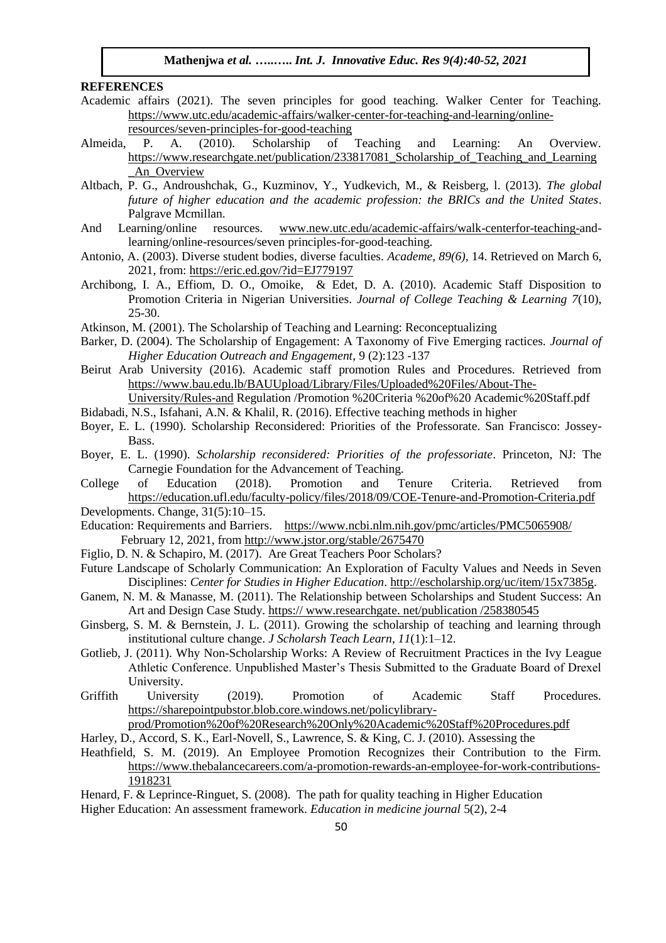## **REFERENCES**

- Academic affairs (2021). The seven principles for good teaching. Walker Center for Teaching. [https://www.utc.edu/academic-affairs/walker-center-for-teaching-and-learning/online](https://www.utc.edu/academic-affairs/walker-center-for-teaching-and-learning/online-resources/seven-principles-for-good-teaching)[resources/seven-principles-for-good-teaching](https://www.utc.edu/academic-affairs/walker-center-for-teaching-and-learning/online-resources/seven-principles-for-good-teaching)<br>P. A. (2010). Scholarship of
- Almeida, P. A. (2010). Scholarship of Teaching and Learning: An Overview. [https://www.researchgate.net/publication/233817081\\_Scholarship\\_of\\_Teaching\\_and\\_Learning](https://www.researchgate.net/publication/233817081_Scholarship_of_Teaching_and_Learning_An_Overview) An Overview
- Altbach, P. G., Androushchak, G., Kuzminov, Y., Yudkevich, M., & Reisberg, l. (2013). *The global future of higher education and the academic profession: the BRICs and the United States*. Palgrave Mcmillan.
- And Learning/online resources. [www.new.utc.edu/academic-affairs/walk-centerfor-teaching-a](http://www.new.utc.edu/academic-affairs/walk-centerfor-teaching-)ndlearning/online-resources/seven principles-for-good-teaching.
- Antonio, A. (2003). Diverse student bodies, diverse faculties. *Academe, 89(6),* 14. Retrieved on March 6, 2021, from:<https://eric.ed.gov/?id=EJ779197>
- Archibong, I. A., Effiom, D. O., Omoike, & Edet, D. A. (2010). Academic Staff Disposition to Promotion Criteria in Nigerian Universities. *Journal of College Teaching & Learning 7*(10), 25-30.
- Atkinson, M. (2001). The Scholarship of Teaching and Learning: Reconceptualizing
- Barker, D. (2004). The Scholarship of Engagement: A Taxonomy of Five Emerging ractices. *Journal of Higher Education Outreach and Engagement*, 9 (2):123 -137
- Beirut Arab University (2016). Academic staff promotion Rules and Procedures. Retrieved from [https://www.bau.edu.lb/BAUUpload/Library/Files/Uploaded%20Files/About-The-](https://www.bau.edu.lb/BAUUpload/Library/Files/Uploaded%20Files/About-The-University/Rules-and)

[University/Rules-and](https://www.bau.edu.lb/BAUUpload/Library/Files/Uploaded%20Files/About-The-University/Rules-and) Regulation /Promotion %20Criteria %20of%20 Academic%20Staff.pdf Bidabadi, N.S., Isfahani, A.N. & Khalil, R. (2016). Effective teaching methods in higher

- Boyer, E. L. (1990). Scholarship Reconsidered: Priorities of the Professorate. San Francisco: Jossey-Bass.
- Boyer, E. L. (1990). *Scholarship reconsidered: Priorities of the professoriate*. Princeton, NJ: The Carnegie Foundation for the Advancement of Teaching.
- College of Education (2018). Promotion and Tenure Criteria. Retrieved from <https://education.ufl.edu/faculty-policy/files/2018/09/COE-Tenure-and-Promotion-Criteria.pdf>
- Developments. Change, 31(5):10–15.
- Education: Requirements and Barriers. <https://www.ncbi.nlm.nih.gov/pmc/articles/PMC5065908/> February 12, 2021, from<http://www.jstor.org/stable/2675470>
- Figlio, D. N. & Schapiro, M. (2017). Are Great Teachers Poor Scholars?
- Future Landscape of Scholarly Communication: An Exploration of Faculty Values and Needs in Seven Disciplines: *Center for Studies in Higher Education*[. http://escholarship.org/uc/item/15x7385g.](http://escholarship.org/uc/item/15x7385g)
- Ganem, N. M. & Manasse, M. (2011). The Relationship between Scholarships and Student Success: An Art and Design Case Study. https://www.researchgate. net/publication /258380545
- Ginsberg, S. M. & Bernstein, J. L. (2011). Growing the scholarship of teaching and learning through institutional culture change. *J Scholarsh Teach Learn*, *11*(1):1–12.
- Gotlieb, J. (2011). Why Non-Scholarship Works: A Review of Recruitment Practices in the Ivy League Athletic Conference. Unpublished Master's Thesis Submitted to the Graduate Board of Drexel University.
- Griffith University (2019). Promotion of Academic Staff Procedures. [https://sharepointpubstor.blob.core.windows.net/policylibrary-](https://sharepointpubstor.blob.core.windows.net/policylibrary-prod/Promotion%20of%20Research%20Only%20Academic%20Staff%20Procedures.pdf)

[prod/Promotion%20of%20Research%20Only%20Academic%20Staff%20Procedures.pdf](https://sharepointpubstor.blob.core.windows.net/policylibrary-prod/Promotion%20of%20Research%20Only%20Academic%20Staff%20Procedures.pdf)

Harley, D., Accord, S. K., Earl-Novell, S., Lawrence, S. & King, C. J. (2010). Assessing the

- Heathfield, S. M. (2019). An Employee Promotion Recognizes their Contribution to the Firm. [https://www.thebalancecareers.com/a-promotion-rewards-an-employee-for-work-contributions-](https://www.thebalancecareers.com/a-promotion-rewards-an-employee-for-work-contributions-1918231)[1918231](https://www.thebalancecareers.com/a-promotion-rewards-an-employee-for-work-contributions-1918231)
- Henard, F. & Leprince-Ringuet, S. (2008). The path for quality teaching in Higher Education Higher Education: An assessment framework. *Education in medicine journal* 5(2), 2-4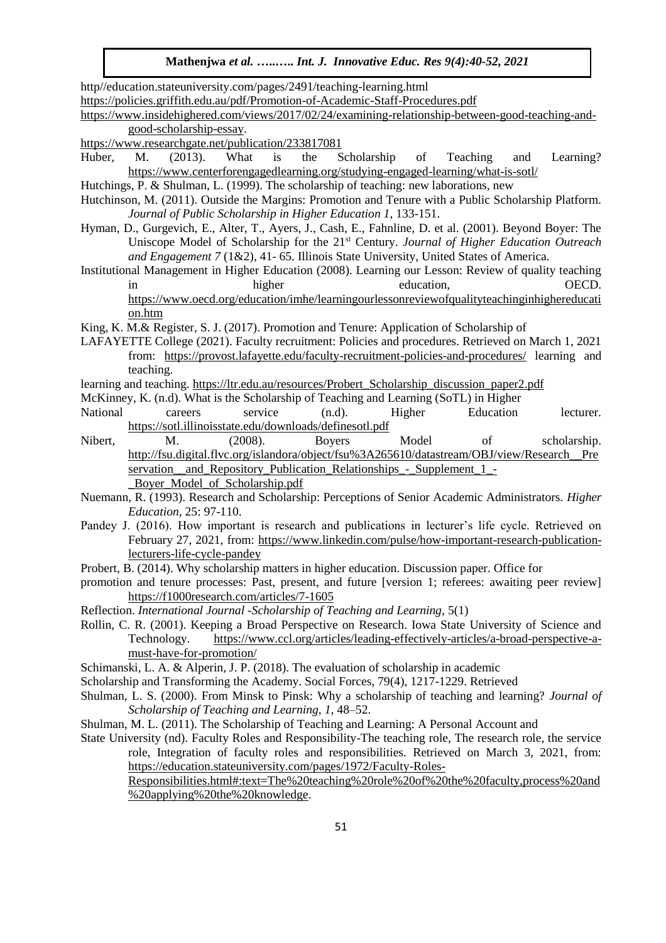http//education.stateuniversity.com/pages/2491/teaching-learning.html <https://policies.griffith.edu.au/pdf/Promotion-of-Academic-Staff-Procedures.pdf> [https://www.insidehighered.com/views/2017/02/24/examining-relationship-between-good-teaching-and](https://www.insidehighered.com/views/2017/02/24/examining-relationship-between-good-teaching-and-good-scholarship-essay)[good-scholarship-essay.](https://www.insidehighered.com/views/2017/02/24/examining-relationship-between-good-teaching-and-good-scholarship-essay) <https://www.researchgate.net/publication/233817081><br>Huber, M. (2013). What is the Scholarship Huber, M. (2013). What is the Scholarship of Teaching and Learning? <https://www.centerforengagedlearning.org/studying-engaged-learning/what-is-sotl/> Hutchings, P. & Shulman, L. (1999). The scholarship of teaching: new laborations, new Hutchinson, M. (2011). Outside the Margins: Promotion and Tenure with a Public Scholarship Platform. *Journal of Public Scholarship in Higher Education 1*, 133-151. Hyman, D., Gurgevich, E., Alter, T., Ayers, J., Cash, E., Fahnline, D. et al. (2001). Beyond Boyer: The Uniscope Model of Scholarship for the 21st Century. *Journal of Higher Education Outreach and Engagement 7* (1&2), 41- 65. Illinois State University, United States of America. Institutional Management in Higher Education (2008). Learning our Lesson: Review of quality teaching in higher higher education, OECD. [https://www.oecd.org/education/imhe/learningourlessonreviewofqualityteachinginhighereducati](https://www.oecd.org/education/imhe/learningourlessonreviewofqualityteachinginhighereducation.htm) [on.htm](https://www.oecd.org/education/imhe/learningourlessonreviewofqualityteachinginhighereducation.htm) King, K. M.& Register, S. J. (2017). Promotion and Tenure: Application of Scholarship of LAFAYETTE College (2021). Faculty recruitment: Policies and procedures. Retrieved on March 1, 2021 from: <https://provost.lafayette.edu/faculty-recruitment-policies-and-procedures/> learning and teaching. learning and teaching. [https://ltr.edu.au/resources/Probert\\_Scholarship\\_discussion\\_paper2.pdf](https://ltr.edu.au/resources/Probert_Scholarship_discussion_paper2.pdf) McKinney, K. (n.d). What is the Scholarship of Teaching and Learning (SoTL) in Higher

- National careers service (n.d). Higher Education lecturer. <https://sotl.illinoisstate.edu/downloads/definesotl.pdf>
- Nibert, M. (2008). Boyers Model of scholarship. [http://fsu.digital.flvc.org/islandora/object/fsu%3A265610/datastream/OBJ/view/Research\\_\\_Pre](http://fsu.digital.flvc.org/islandora/object/fsu%3A265610/datastream/OBJ/view/Research__Preservation__and_Repository_Publication_Relationships_-_Supplement_1_-_Boyer_Model_of_Scholarship.pdf) servation\_and\_Repository\_Publication\_Relationships\_-\_Supplement\_1\_-[\\_Boyer\\_Model\\_of\\_Scholarship.pdf](http://fsu.digital.flvc.org/islandora/object/fsu%3A265610/datastream/OBJ/view/Research__Preservation__and_Repository_Publication_Relationships_-_Supplement_1_-_Boyer_Model_of_Scholarship.pdf)

Nuemann, R. (1993). Research and Scholarship: Perceptions of Senior Academic Administrators. *Higher Education*, 25: 97-110.

- Pandey J. (2016). How important is research and publications in lecturer's life cycle. Retrieved on February 27, 2021, from: [https://www.linkedin.com/pulse/how-important-research-publication](https://www.linkedin.com/pulse/how-important-research-publication-lecturers-life-cycle-pandey)[lecturers-life-cycle-pandey](https://www.linkedin.com/pulse/how-important-research-publication-lecturers-life-cycle-pandey)
- Probert, B. (2014). Why scholarship matters in higher education. Discussion paper. Office for
- promotion and tenure processes: Past, present, and future [version 1; referees: awaiting peer review] <https://f1000research.com/articles/7-1605>
- Reflection. *International Journal -Scholarship of Teaching and Learning*, 5(1)
- Rollin, C. R. (2001). Keeping a Broad Perspective on Research. Iowa State University of Science and Technology. [https://www.ccl.org/articles/leading-effectively-articles/a-broad-perspective-a](https://www.ccl.org/articles/leading-effectively-articles/a-broad-perspective-a-must-have-for-promotion/)[must-have-for-promotion/](https://www.ccl.org/articles/leading-effectively-articles/a-broad-perspective-a-must-have-for-promotion/)
- Schimanski, L. A. & Alperin, J. P. (2018). The evaluation of scholarship in academic

Scholarship and Transforming the Academy. Social Forces, 79(4), 1217-1229. Retrieved

- Shulman, L. S. (2000). From Minsk to Pinsk: Why a scholarship of teaching and learning? *Journal of Scholarship of Teaching and Learning, 1,* 48–52.
- Shulman, M. L. (2011). The Scholarship of Teaching and Learning: A Personal Account and

State University (nd). Faculty Roles and Responsibility-The teaching role, The research role, the service role, Integration of faculty roles and responsibilities. Retrieved on March 3, 2021, from: [https://education.stateuniversity.com/pages/1972/Faculty-Roles-](https://education.stateuniversity.com/pages/1972/Faculty-Roles-Responsibilities.html#:text=The%20teaching%20role%20of%20the%20faculty,process%20and%20applying%20the%20knowledge)

[Responsibilities.html#:text=The%20teaching%20role%20of%20the%20faculty,process%20and](https://education.stateuniversity.com/pages/1972/Faculty-Roles-Responsibilities.html#:text=The%20teaching%20role%20of%20the%20faculty,process%20and%20applying%20the%20knowledge) [%20applying%20the%20knowledge.](https://education.stateuniversity.com/pages/1972/Faculty-Roles-Responsibilities.html#:text=The%20teaching%20role%20of%20the%20faculty,process%20and%20applying%20the%20knowledge)